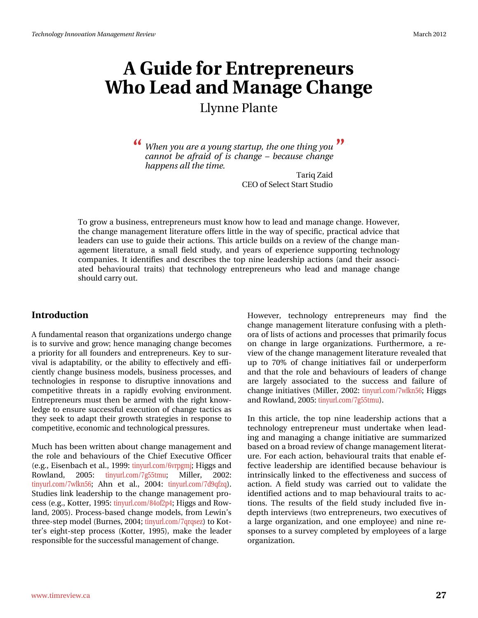# $D#x$  lgh#r u#Hq wuhs uhq hx uv Z kr #Chdg#dqg#P dqdj h#F kdqj h Od ggh#Sodgwh

<mark>《</mark> Z khq#;rx#duh#d#;rxqj#woduwxs/#wkh#rqh#wklqj#;rx#<sup>TM</sup> fdggrw#eh#diudlg#ri#lv#fkdgjh##ehfdxvh#fkdgjh# k dsshqv#doo#nkh#Mph1

> Wout # dlg FHR#i#Vhdnfw#Woduw#Woxglr

W # urz #d#exvlghvv/#hqwuhsuhqhxuv#pxvw#ngrz #krz #wr#bhdg#dqq#pdqdjh#fkdqjh1#Krzhyhu/# wkh#kdqjh#pdqdjhphqw#Jwhudwxuh#iihuv#Jwwh#q#wkh#zd|#i#vshflilf/#sudfwlfdo#dgylfh#wkdw# ohdghuv#fdq#xvh#wr#jxlgh#wkhlu#dfwlrqv1#Wklv#duwlfoh#exlogv#rq#d#uhylhz#ri#wkh#fkdqjh#pdq0 djhphqw#olvhudwxuh/#d#vpdoc#ilhog#vwxq|/#dqq#|hduv#ri#h{shulhqfh#vxssruwlqj#whfkqrorj|# frp sdqlhv#Lu#lghqwilhv#dqg#ghvfulehv#wkh#wrs#glgh#dndghuvkls#dfwrgv#+dqg#wkhlu#dvvrfl0 dwhg#ehkdylrxudd#wudlwv,#wkdw#whfkqrorj|#hqwuhsuhqhxuv#zkr#ohdg#dqg#pdqdjh#fkdqjh# vkrxog#duu|#xw1#

#### Lqwurgxfwlrq

D#xqgdp hqwddthdvrq#wkdw#ujdql}dwlrqv#xqghujr#kdqjh# lv#wr#vxuylyh#dqg#jurz: #khqfh#pdqdjlqj#fkdqjh#ehfrphv# d#sulrulw|#iru#doc#irxqghuv#dqg#hqwuhsuhqhxuv1#Nh|#w|#vxu0 ylydd#v#dgdswdeldwy/#ru#wkh#deldwy#wr#hiihfwlyhol#dqg#hiil0 flhqwo|#fkdqjh#exvlqhw#prghov/#exvlqhw#surfhwhv/#dqg# whikqrorjlhv#lq#uhvsrqvh#wr#glvuxswlyh#lqqrydwlrqv#dqg# frp shwlwyh#wkuhdwr#lq#d#udsigo|#hyroylqj#hqylurqphqw1# Hawhsuhahxuv#pxw#wkha#eh#dupha#zlwk#wkh#uljkw#narz0 dhgiht #hqvx uh #x ff hwix c#h { hf x whr q #r i # k dq i h # wdf wf v # dv# wkh|#vhhn#wr#dgdsw#wkhlu#jurzwk#vw.dwhjlhv#lq#uhvsrqvh#wr# frpshwlwyh/#hfrqrplf#dqg#mlfkqrorjlfdo#suhwxuh∨1#

P x f k # k dv#ehhq#z ulwwhq#der x w # k dq j h # p dq dj h p h qw#dq g # wkh#urdh#dqg#ehkdylrxuv#ri#wkh#Fklhi#H{hfxwlyh#Riilfhu# +h1j1#Hlvhqedfk#hw#do1/#4<<<##kq|xuofrp29yusipm#Klijv#dqg# Urz odqg/# 5338# wlq|xuofrp 2:j88wp x:# Ploohu/# 5335=# wiq xuo frp 2: z on q 89 # Dk q # hw # do 1/# 5337 # wiq xuo frp 2: g < ti}t, 1# Vox glhv#dqn#dndghuvkls#wr#wkh#fkdqjh#pdqdjhphqw#sur0 fhw#h1j1/#Nrwhu/#4<<8=#wq|xuofrp2;7ri5s7=#Kljjw#dqg#Urz0 odgg/#5338, #Sur f hvv0edvhg#f kdgj h#p r ghov/# ur p #Ohz lg\*v#  $w$ k uhh0 whs#p rghc#+Exuqhv/#5337  $x#wq$ |xuofrp 2:tutvh},#wr#Nrw0 whut v#hlj kwww.hs#surfhvv#+Nrwwhu/#4<<8,/#p dnh#wkh#dndghu# uhvsrqvledn#ru#wkh#vxffhvvixc#pdqdjhphqw#i#kdqjh#

Krzhyhu/#whfkqrorj | #hqwuhsuhqhxu w#pd| #ilqg#wkh# f k dq j h#p dq dj hp hq w#d vhud ws uh#fr q ix vl q j #z l wk #d#s dn wk 0 rud#i#blvw#i#dfwlrqv#dqg#surfhvvhv#wkdw#sulpduld;#rfxv# rq#fkdqjh#lq#odujh#rujdql}dwlrqv1#lxuwkhupruh/#d#uh0 ylhz # i #wkh# kdq i h# dqd i hp hqw#Jwhudwx uh#uhyhddng#wkdw# xs#wr#:3(#ri#fkdqjh#lqlwldwlyhv#idlo#ru#xqghushuirup# dqg#wkdw#wkh#urdh#dqg#ehkdylrxuv#ri#dhdqhuv#ri#fkdqjh# duh#odujhd#dwrfldwhg#wr#wkh#vxffhw#dqg#idloxuh#ri# fkdqjh#qlwdwyhv#Ploohu/#5335=#wq|xuofrp2:zonq89=#Kljjv# dqq#Urz odqq/#5338=# $|q|$  x uof r p 2: 188 $|p|$  x, #

Lq#wklv#duwlfdn/#wkh#wrs#qlqh#dndghuvkls#dfwlrqv#wkdw#d# whikar or il #haw hsuhahxu#p xw#xaghwdnh#zkha#ohdg0 lqj #dqg#p dqdj lqj #d#f kdqj h#lqlwdwlyh#duh#vxp p dul}hg# edvhg#q#J#eurdg#uhylhz#i#kdqjh#pdqdjhphqw#Jwhudw0 x uhthi r uthdf k #df wir q/#ehk dylr x udd#wudlw#wk dw#hq dedn#hi0 ihf wyh#dndghwkls#duh#lghqwilhg#ehfdxvh#ehkdylr xu#lv# lqwdqvlfdod #dqnhg#wr#wkh#hiihfwlyhqhw#dqg#vxffhw#ri# df wir q #D#ilhog#vwxg| #z dv#f duulhg#r xw#wr #yddgdwh#wkh# Ighqwilhg#dfwr qv#dqg#wr#pds#ehkdylrxudd#wudlw#wr#df0 who qv#Wkh#uhvxow#ri#wkh#ilhog#wxgl#lqfoxghg#llyh#lq0 ghs wk#qwhuylhz v#wz r#hqwuhs uhqhx uv/#wz r#h{hf xwlyhv#ti# d#odujh#rujdql}dwtrq/#dqg#rqh#hpsor|hh,#dqg#qlqh#uh0 vsrqvhv#wr#d#vxuyh|#frpsohwhg#e|#hpsor|hhv#ri#d#odujh# r y dql}dwr q#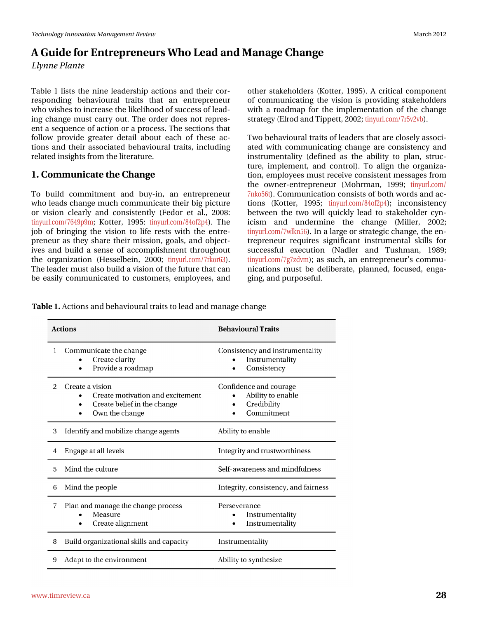# D#Jxlgh#ru#Hqwuhsuhqhxuv#Zkr#Ohdq#dqq#Pdqdjh#Fkdqjh Od gah#Sadawh

Wde on#4#olyw#wkh#glgh#ohdghuvkls#dfwlrgy#dgg#wkhlu#fru0 thvsrgglgj#ehkdylrxudd#wudlw#vkdw#dg#hqwuhsuhqhxu# z kr#lvkhv#wr#qfuhdvh#wkh#bhholkrrg#i#vxffhvv#i#bhdg0 lqj#fkdqjh#pxw#fduu|#rxw#AWkh#rughu#grhv#grw#uhsuhv0 hqw#d#vht x hqf h# i#df whr q# u#d#s ur f hw #Mk h#vhf whr qv#wk dw# ir oor z #sur ylgh#juhdvhu#ghvollo#der xw#hdfk#ri#wkhvh#df0 whr gv#dgg#wkhlu#dvvrfldwhg#ehkdylrxudd#wudlwv/#lqfoxglqj# uhodwhg#qvljkw#urp#kkh#Jwhudwxuh1

### 41年rppxqlfdwh#wkh#Fkdqjh

W #exlog#frpplwphqw#dqg#ex|dq/#dq#hqwuhsuhqhxu# z kr#bhdgv#fkdqjh#pxfk#frppxqlfdwh#wkhlu#elj#slfwxuh# r u#ylvir q#f ohduoj #dqg#f r qvivwhqwoj #+i hgr u#hw#do1/#533; #  $\frac{1}{2}$  wig | x u of r p 2: 97 < s < p  $\frac{1}{2}$  N r whow  $\frac{1}{4}$  4 < 8  $\frac{1}{2}$  wig | x u of r p 2; 7r i 5s 7, 1# W k h  $\frac{1}{2}$ me#ri#eulqjlqj#wkh#ylvlrq#wr#dih#uhvw#zlwk#wkh#hqwuh0 suhqhxu#dv#wkh|#vkduh#wkhlu#plwlrq/#jrdov/#dqg#rerhfw0 lyhv#dqg#exlog#d#vhqvh#ri#dffrpsdvkphqw#wkurxjkrxw# wkh#r ujdql}dwr q#+Khwhoehlq/#5333#wg|xuofrp 2: unru96, # Wikh#bhdghu#pxw#dovr#exlog#d#ylvlrq#i#wkh#xwxuh#wkdw#dq# eh#hdvloj#frppxqlfdwhg#wr#fxwwrphuv/#hpsor|hhv/#dqg#

Wde ch#1 #Df wr gy#dgg#ehk dylr xudd#wdlw#wr#hdg#dgg#p dgdjh#k dgjh

Wz r#bhkdylrxudd#wdlw#ti#hdghuv#wkdw#duh#orvhol#dvvrfl0 dwhg#z lwk#frppxqlfdwlgi#fkdqjh#duh#frqvlvvhqf|#dqg# Igwuxphgwddwl#+ghilghg#dv#wkh#deldwl#wr#sodg/#wuxf0 wxuh/#lpsohphqw/#dqg#frqwurq1#Wf#doljq#wkh#rujdql}d0 whrq/#hpsor|hhv#pxw#uhfhlyh#frqvlwwhqw#phwdjhv#urp# wkh#rzqhu0hqwuhsuhqhxu#+Prkupdq/#4<<<#wlq|xuofrp2 : gnr 89w 1# Frp p x glf dwir g# r gvl ww# i# er wk # r ugv#dgg#df 0  $\frac{1}{4}$  where  $\frac{1}{4}$  where  $\frac{1}{4}$  4<<8 $\frac{1}{4}$  where  $\frac{1}{4}$  x up f r p 2; 7r is 57,  $\frac{1}{4}$  l q f r q v l when  $\frac{1}{4}$ ehwz hhq#wkh#wz r#z loc#t xlf no|#ohdg#wr#wodnhkroghu#1|q0 If lvp # dqg# xqghup lqh# wkh# fkdqj h# +P loohu/# 5335:# wq xuof r p 2: z onq89, #Lq#d#odujh# u#wudwhj If # k dqjh/#wkh#hq0 whsuhqhxu#uhtxluhv#vljqlilfdqw#lqvwuxphqwdd#vnloov#iru# vxffhwixo#h{hfxwlrq#+Qdgohu#dqg#Wkwkpdq/#4<;<#  $\frac{1}{2}$  wig | xuofirp 2: i: } gyp,  $\frac{1}{2}$  it by  $\frac{1}{2}$  ket k / # dq # hq wuhsuhq hx u\*v # frp p x 0 qlf dwr qv#p xw#eh#ghdehudwh/#sodqqhg/#irfxvhg/#hqjd0 jlqj/#dqg#sxusrvhixo1#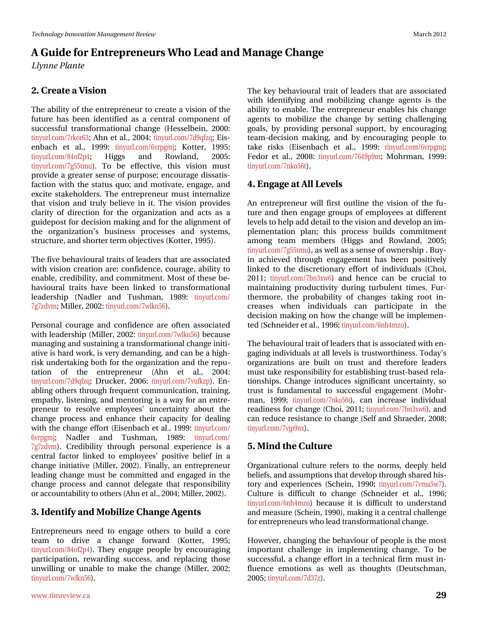### 51年 uhdvh#d#Ylvlrq

Wkh#deldw|#i#wkh#hqwuhsuhqhxu#wr#uhdwh#d#ylvlrq#ri#wkh# ix ws uh#k dv#ehhq#lghqwlilhg#dv#d#fhqwudd#frpsrqhqw#ri# vxffhwixd4wdqvirupdwrqdd#kdqjh#+Khwhoehlq/#5333=# hqedf k#hw#dol/#4<<<#wlightheral engines of the 29 yusing math Nr what  $4$ << $8$ # wlq xuofrp 2;7ri5s7:# Kljjv# dqg# Urzodqg/# 5338=# wiq xuo frp 2: j88wp x, 1# Wr#eh#hiihfwlyh/#wklv#ylvlrq#p xvw# sur yigh#d#juhdvhu#vhqvh#ri#sxusrvh:#hqfrxudjh#glvvdvlv0 idf wir q#z lwk#wk h#wodwx v#t xr \*#dqg#p rwlydwh/#hqjdjh/#dqg# h{flwh#wdnhkroghuv#Wkh#hqwuhsuhqhxu#pxw#lqwhuqdd}h# wkdw#ylvlrg#dqg#wuxdj#ehdhyh#lq#lw#AWkh#ylvlrg#surylghv# fodulw|#ri#gluhfwlrq#iru#wkh#rujdql}dwlrq#dqg#dfw#dv#d# j xlghsr w#r u#ghflvlr q#p dnlqj#dqg#r u#wkh#dolj qp hqw#ri# wkh#rujdql}dwrq\*v#exvlqhvv#surfhvvhv#dqg#v|vwhpv/# www.fwx.uh/#dqg#vkruwhu#whup#enhfwlyhv#Nrwwhu/#4<<8,1#

Wkh#lyh#ehkdylrxudd#wdlw#ti#bhdghw#wkdw#duh#dwrfldwhg# z lwk#ylvirq#fuhdwirq#duh=#frqilghqfh/#frxudjh/#delolw|#wr# hqdedn/#tuhgleldw|/#dqg#frpplwphqw1#Prww#i#wkhvh#eh0 kdylr xudd#wudlw#kdyh#ehhq#dqnhg#wr#wudqvirup dwlrqdd#  $\frac{1}{2}$  ondghuvkls# +Qdgohu#dqg# Wkvkp dq/#4<; <# wq| xuofrp 2 : i:  $\gamma$  gyp  $\#$ P loothu/#5335=# $\frac{M}{q}$  x uo f r p 2: z ong 89, #

Shuvr qdd# r x udj h#dqg#f r qilghqf h#duh#r iwhq#dvvr fldwhg# z lwk#bhdghuvkls#Ploohu/#5335=#llq|xuofrp 2: z onq89,#ehfdxvh# p dadjlaj#dag#xwollalaj#d#wdavirupdwradc#fkdajh#alwl0 dwyh#v#xdug#z r un/#v#yhu| #ghp dqglqj /#dqg# dq#eh#d#klj k0 dvn#xqghuwdnlqj#erwk#lru#wkh#rujdql}dwlrq#dqg#wkh#uhsx0 wolwing#ri#wkh#hqwuhsuhqhxu#+Dkq#hw#do1/#5337=# wiq|xuofrp2:g<ti}t:#Guxfnhu/#5339=#wiq|xuofrp2:yxin}s,1#Hq0 deologj# wkhuv#wkurxjk#uhtxhqw#rppxqlfdwlrq/#wudlqlqj/# hp sdwk /#blvwhqlqj/#dqg#p hqwrulqj#lv#d#zd|#iru#dq#hqwuh0 suhqhxu#wr#uhvroyh#hpsor|hhv\$vxqfhuwdlqw|#derxw#wkh# f kdqj h#sur f hw#dqg#hqkdqf h#wkhlu#fdsdflw|#iru#ghddqj# z lwk#wkh#fkdqjh#hiiruw#+Hlvhqedfk#hw#dol/#4<<<##wq|xuofrp2 9yusjpm# Qdgdnu# dqg# Wkvkp dq/# 4<; <# wq| xuofrp 2 :  $j$  :  $\}$ gyp,  $\#$ Fuhgleldw $\#$ wkur xj k $\#$ shuvr qdd $\#$ h $\{$ shulhqf h $\#$ lv $\#$ d $\#$ f hqwdd#idfwru#dqnhg#wr#hpsor|hhvš#srvlwlyh#ehdhi#lq#d# fkdqjh#lqlwldwlyh#+Ploohu/#5335,1#llqdool/#dq#hqwuhsuhqhxu# dndglqj#fkdqjh#pxw#eh#frpplwhg#dqg#hqjdjhg#lq#wkh# f kdqj h#sur f hvv#dqg#f dqqr v#ghohj dvh#vkdv#uhvsr qvlelolw| # ru#dffrxqvdeldv $\psi$ #wr#wkhuv#Dkq#hv#do1/#5337:#Ploohu/#5335,1#

## 6#Lghqwil#dqq#Preld h#Fkdqjh#Djhqw

Hqwhsuhqhxuv#qhhg#wr#hqjdjh#rwkhuv#wr#exlog#d#fruh# whdp # w # gulyh# d# f kdqj h# ir uz dug# +Nr whu/# 4<<8# wiq xuof r p 2; 7r i 5s 7, 14 A Wk h | # h q j d j h # s h r s dh # e | # h q f r x ud j l q j # sduwf Isdwir g/#uhz duglgi#vxffhw/#dgg#uhsodflgi#wkrvh# xqz loolgi # u#xqdedn#wr#p dnh#wkh#fkdqjh#+Ploohu/#5335#  $\frac{1}{2}$  wind x up f r p 2: z on q 89,  $\frac{1}{2}$ 

Wikh#nh|#ehkdylrxudd#wudlw#ri#dndghuv#wkdw#duh#dvvrfldwhg# z lwk#lghqwli|lqj#dqg#p reld}lqj#fkdqjh#djhqw#lv#wkh# deldw #w #hqdedn #AWk h#hqwuhsuhqhxu#hqdednv#klv#fkdqjh# dj hqw#wr#preld}h#wkh#fkdqjh#e|#vhwlvqj#fkdoohqjlqj# jrdov/#e|#surylglqj#shuvrqdo#vxssruw/#e|#hqfrxudjlqj# wholp Oghflvirq#p dniqj/#dqg#e|#hqfrxudjlqj#shrsoh#wr# vdnh# u vnv# +Hlvhqedf k # hv# dol/# 4<<< # vlg xudf r p 29yusj p m# I har u#hw#do1/#533; #Mg| xuofrp 2: 97<s <p #P r kup dq/#4<<<#  $wq$  x worf r p 2: qnr 89 $w1$ 

### 71#Hqj dj h#Jw#Doo#Chyhov

Dq#hqw.hsuhqhxu#zloo#lluw#rxwolqh#wkh#ylvlrq#ri#wkh#ix0 wsuh#dqg#wkhq#hqjdjh#jurxsv#ri#hpsor|hhv#dw#gliihuhqw# dhyhov#wr#khos#dgg#ghwdlo#wr#wkh#ylvlrg#dgg#ghyhors#dq#p0 sohphqwdwlrq#sodq#wklv#surfhvv#exlogv#frpplwphqw# dp rqj#whdp#phpehuv#+Kljjv#dqg#Urzodqg/#5338# wg|xuofrp2:j88wpx,/#dv#zhoo#dv#d#vhqvh#i#zqhuvkls##Ex|0 lq#df klhyhg#wkur xj k#hqj dj hp hqw#kdv#ehhq#sr vlwyhd # dqnhg#wr#wkh#glvfuhwlrqdu|#hiiruw#ri#lqglylgxdov#+Fkrl/# 5344 \*\*\* wq| x udf r p 2: eq6{z 9, #dqg#k hqf h#f dq#eh#f uxf ldd \*\*\* # p dlqwdlqlqj#surgxfwlylw|#gxulqj#wxuexohqw#wlphv1#lxu0 wk.hup ruh/#wk.h#suredeldw|#ri#fk.dqjhv#wdnlqj#urrw#lq0 fund what z khq# lqglylgxdout fdq# sduwt lsdwh# lq# wkh# ghflvirq#pdniqj#rq#krz#wkh#fkdqjh#zloo#eh#psohphq0 whg#Nfkqhlghu#w#dol/#4<<9>>sy#lq|xuofrp29qk7p}r,1

Wikh#ehkdylrxudd#wdlw#i#bhdghuv#wkdw#v#dvvrfldwhg#zlwk#hq0 j dj lgj #gglylgxdov#dw#doo#byhov#v#wuxwozruwklghw #AV gdl \*v# r ujdql}dwr gy#duh#exlow#r g#wux w#dgg#wkhuhir uh#ohdghuw# p xw#wdnh#uhvsrqvleldw|#iru#hwodedvklqj#wuxww2edvhg#uhod0 wtrqvklsv1#Fkdqjh#lqwurgxfhv#vljqlilfdqw#xqfhuvollqw|/#vr# ww.w#lv#ixqgdphqwdd#wr#vxffhwixd#hqjdjhphqw#+Prku0 p dq/#4<<<\*\* wq| x u of r p 2: qnr 89w/#f dq#lqf undvh#lqglylgxdd# undglghw#ru#kdgjh#Fkrl/#5344#Mg|xuofrp2:eq6{z9,/#dqg# f dq#uhgxf h#uhvlvvddqf h#wr#f kdqj h#AVhoi#dqg#Vkudhghu/#533; #  $\frac{1}{2}$  wind x up f r p 2: yrs <q{, 1

### 81 lqg # k h # x o x uh

Rujdgl}dwir gdd#xowsuh#uhihuv#wr#wkh#grup v/#ghhsol#khog# eholhiv/#dqg#dvvxpswlrqv#wkdw#ghyhors#wkurxjk#wkduhg#klv0 wru|#dqg#h{shulhqfhv#+Vfkhlq/#4<<3:#Mq|xuofrp2:ypd8z:,1# Fxow.uh#lv#gliilfxow#wr#fkdqjh#+Vfkqhlghu#hw#do1/#4<<9# wig x uof r p 29qk7p } r, #e hf dx vh#l w#l v#gliilf x ow#wr #x g g huvwdg g # dqg#p hdvxuh#A/fkhlq/#4<<3,/#p dnlqj#w#d#hqwudd#kdoohqjh# iru#hqwuhsuhqhxuv#zkr#bhdg#wudqvirupdwhrqdo#kdqjh#

Krzhyhu/#kdqjlqj#wkh#ehkdylrxu#i#shrsoh#v#wkh#prw# lp sruwdqw#fkdoologjh#lq#lp sohp hqwlqj#fkdqjh#Wf#eh# w.ffh.wixd#d#fk.dqjh#hiiruw#lq#d#whfk.qlfdd#llup#pxw#lq0 ioxhqfh#hp rwtrqv#dv#zhoo#dv#wkrxjkww#+Ghxwrfkpdq/# 5338 \* y x uof r p 2: g6: }, #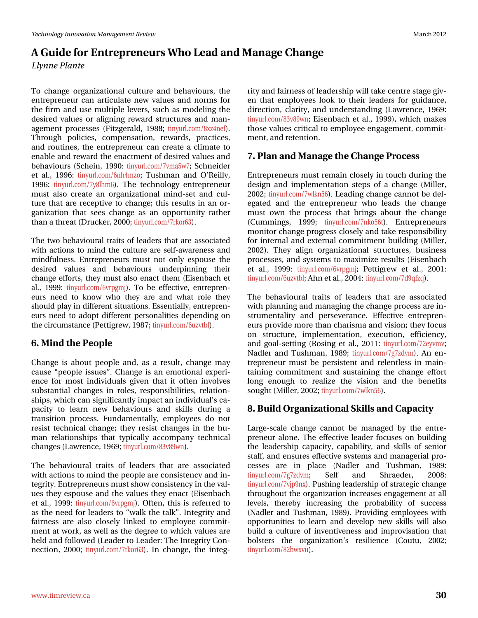# D#Jxlgh#ru#Hqwuhsuhqhxuv#Zkr#Ohdq#dqq#Pdqdjh#Fkdqjh Od gah#Sadawh

W # kdqj h#r ujdql}dwr gdd#xowsuh#dgg#ehkdylr xw/#wkh# hqwuhsuhqhxu#fdq#duwlfxodwh#qhz#ydoxhv#dqg#qrupv#iru# wkh#llup#dqg#xvh#pxowlsoh#bhyhuv/#vxfk#dv#prgholqj#wkh# ghvluhg#ydoxhv#ru#doljqlqj#uhzdug#vwuxfwxuhv#dqg#pdq0 dj hp hqwtsur f hwhw#+I lw}j hudog/#4<;; \* # wq| xuo frp 2; {}7qhi, # Wkurxjk#srdflhv/#frpshqvdwlrq/#uhzdugv/#sudfwlfhv/# dgg#ur xwlghv/#wkh#hqwuhsuhghxu#fdg#fuhdwh#d#fdpdwh#wr# hqdedn#dqg#uhzdug#wkh#hqdfwphqw#i#ghvluhg#ydoxhv#dqg# ehk dylr x w#A/f k hlq/#4<<3=#/wq| x u f r p 2: yp d8z : : #A/f k q hlg hu # hw#dol/#4<<9=#wg|xuofrp29qk7p}r=#Wkvkpdq#dqg#R\*Uhloo|/# 4<<9#wg|xuofrp2|;dxp9,1#VKh#whfkqrorj|#hqwuhsuhqhxu# p xw#dovr#fuhdwh#dq#rujdql}dwlrqdo#plqg0vhw#dqg#fxo0 wout that will divid that the will have the will have the will have the will have the will have the will have jdql}dw'r q#wkdw#vhhv#fkdqjh#dv#dq#rssruwxqlw|#udwkhu# wk dq #d#wk uhdw#+Gux f nhu/#5333 \*#l/q xuo f r p 2: unru96, 1#

Wikh#wz r#ehkdylr xudd#wdlw#ri#dndghuv#wkdw#duh#dvvrfldwhg# z lwk#dfwlr gy#wr#p lgg#wkh#fxowsuh#duh#yhoi0dz duhghw#dgg# plqgixoqhw#Hqwuhsuhqhxuv#pxw#qrw#rqq#hvsrxvh#wkh# ghvluhg# ydoxhv# dqg# ehkdylr xw# xqghuslqqlqj # wkhlu# f kdqj http://tww./tt/khl ttp xwortdovr thqdf whichp tttllvhqedf kthwtt dol/#4<<<# wq| xudi rp 29 yusjp m #AV #eh#hiihf wlyh / #hq wuhs uhq 0  $hx w#qhhq#w #nqr z #z kr #wkhl #duh#dqq#z kdw#ur dh#wkhl #$ ykr xog#sod|#q#gliihuhqw#vlwxdwlr qv#Hwhqwldool/#hqwuhsuhq0 hx w#qhhg#wr#dgrsw#gliihuhqw#shwrqddwlhv#ghshqglqj#rq# wkh#lufxp wodgfh#Shwujuhz/#4<;: #Mg|xuofrp 29x} weg #

### 914Plqg#wkh#Shrsch

Fkdqjh#v#derxw#shrsdn#dqg/#dv#d#uhvxow#fkdqjh#pd|# f dx vh# shr soh#lwx hv™#Fk dqjh#lv#dq#hpr wtrqdo#h{shul0 hqfh#iru#prw#lqglylgxdov#jlyhq#wkdw#lw#riwhq#lqyroyhv# vxevvdqvldd#kdqjhv#lq#urdnv/#uhvsrqvleldvlhv/#uhodvlrq0 vklsv/#zklfk#dq#vljqlilfdqvo|#psdfw#dq#lqglylgxdo\*v#d0 sdflw#w#dnduq#qhz#ehkdylrxuv#dqg#vnloov#gxulqj#d# wodqvlwtrq#surfhvv#lxqgdphqwdool/#hpsor|hhv#gr#qrw# uh∨lvw#whfkqlfdo#fkdqjh.≠Awkh|#uh∨lvw#fkdqjh∨#lq#wkh#kx0 p dq#uhodwlrqvklsv#wkdw#w|slfdoo|#dffrpsdq|#whfkqlfdo# f kdqj hv#Odz uhqf h/#4<9<# $|q|$  xuof r p 2; 6y; <z q, #

Wikh#ehkdylrxudd#wudlw#ri#dndghuv#wkdw#duh#dvvrfldwhg# z lwk#dfwlrqv#wr#plqg#wkh#shrsoh#duh#frqvlvwhqf|#dqg#q0 whjulw|#Hqwuhsuhqhxuv#pxw#wkrz#rqvlwwhqf|#q#wkh#ydo0 x hv#wk h| #hvs r x vh#dqg#wk h#ydox hv#wk h| #hqdf w#+Hlvhqedf k # hw#do1/#4<<<#/tolxuofrp29yusjpm;#Rivhq/#wklv#lv#uhihuu.hg#wr# dv#wkh#qhhq#ru#bhdqhuv#wr#zdon#wkh#wdon<sup>Tw</sup>#Lqwhiulwi#dqq# idlughvv#duh#dovr#forvho|#dqnhg#wr#hpsor|hh#frpplw0 p hqw#dw#z run/#dv#z hoo#dv#wkh#ghjuhh#wr#z klfk#ydoxhv#duh# khog#dqg#toorzhg#+Ohdghu#wr#Ohdghu#Wkh#Lqwhjulw|#Frq0 qhf wtr q/#5333; # wq| x u o fr p 2: unru96, 1# Lq# fk dq j h / # wk h # lq wh j 0

uw #dqg#dlughvv#i#bndghuvkls#zloo#vanh#hqwuh#wajh#ly0 hq#wkdw#hpsor|hhv#orrn#wr#wkhlu#ohdghuv#iru#jxlgdqfh/# gluhf wir q/#fodulw/#dqg#xqghuwdqglqj#+Odzuhqfh/#4<9<# wg xuof r p 2; 6y; <z q #H vhqedf k #h v #dol #4 <<<, /# k l f k # p dn h v # wkrvh#ydoxhv#lulwfdo#wr#hpsor|hh#hqjdjhphqw#frpplw0 p hqw#dqg#uhwhqwlrq1#

### :1#Sodq#dqq#Pdqdjh#wkh#Fkdqjh#Surfhvv

How hs uhon x w#uhp dlot # or vho # q # w x f k # g x ulo j # wk h # ghvljq#dqg#lpsohphqvolwlrq#whsv#ri#d#fkdqjh#+Ploohu/# 5335 \* http://www.thpdata.com/s335 \* butching 1999, #Chdglqj # kdqj h# dqqr w #eh#gho0 hj dwhg#dqg#wkh#hqwuhsuhqhxu#zkr#dndgv#wkh#fkdqjh# p xw#rzq#wkh#surfhw#wkdw#eulqjv#derxw#wkh#fkdqjh# + Fxp p lqj v/# 4 <<< # wq| x u of rp 2: qnr 89w # Hq wuhs uhq hx u w # prqlwru#kdqjh#surjuhvv#orvho|#dqg#wdnh#uhvsrqvlelolw|# ir u#lqwhuqdo#dqg#h{whuqdo#frpplwphqw#exloglqj#HPloohu/# 5335, #Wkh| #ddj q#r uj dql}dwr gdd#wuxf wruhv/#exvlghw# sur f hwhv/#dqg#v| whp v#w #p d{lp l} h#uhvx ow#HHIvhqedf k# hv#do1/#4<<<#wq|xuofrp29yusjpr#Shwwjuhz#hw#do1/#5334# wq| x uof r p 29x} yve conDk q # hwidol/#5337=# lq| x uof r p 2: g <t i } t , 1

Wikh#ehkdylrxudd#wudlw#ri#dndghuv#vkdw#duh#dvvrfldwhg# z lwk#sodqqlqj#dqq#p dqdjlqj#wkh#fkdqjh#surfhw#duh#q0 ww.phqwddwl#dqg#shwhyhudqfh#Hiihfwlyh#hqwuhsuhq0 hx w#s urylgh#pruh#wk dq#fk dulvpd#dqg#ylvlrq #wkh|#lrfx v# rq# www.fwx.uh/#lps.ohphqwdwlrq/#h{hfx.wlrq/#hiilflhqf|/# dqg# rdo0vhwl/qj#HUrvlqj#hw#dd/#5344=#Mg|xudfrp2:5h|ypy=# Qdgdnu#dqg#Nkvkpdq/#4<; <\* #Mg|xuofrp2:j: }gyp, #Dq#hq0 whsuhqhxu#p xw#eh#shuvlwhqw#dqg#uhdnqwohw#lq#p dlq0 wollqlqj#frpplwphqw#dqg#vxwollqlqj#wkh#fkdqjh#hiiruw#  $\sigma$  qj #hqr xj k#w #uhdd}h#wkh#ylvlr q#dqg#wkh#ehqhilw# vr xj kw#P loohu/#5335 \* yig xuofrp 2: z onq89,1

### ;1#Exlog#Rujdql}dwlrqdo#Vnloov#dqg#Fdsdflw|

Odu h0vf ddn#f kdqj h#f dqqr w#eh#p dqdj hg#e| #vkh#hqwh0 suhqhxu#dorqh1#Nkh#hiihfwlyh#ohdghu#irfxvhv#rq#exloglqj# wkh#dndghuvkls#fdsdflw|/#fdsdeldw|/#dqg#vnloov#ri#vhqlru# wolii/#dqg#nqvxuhv#hiihfwlyh#v|whpv#dqg#pdqdjhuldo#sur0 f hwhv# duh#  $\lg$ # sodf h# +Qdgohu# dqg# Wxvkp dq/# 4<; <#  $\frac{1}{2}$  wiq | xuof r p 2: j : } gyp  $\#$  Vhoi # dqg # Vkudhghu/# 533; # wq|xuofrp2:yna<q{,14Sxvklqj#bhdghuvkls#i#wudwhjlf#kdqjh# wkur x j k r x w#wk h#r ujdql}dwhr q#lqfuhdvhv#hqjdjhphqw#dw#doo#  $dy$ hov/# wkhuhe| # lqfuhdvlqj # wkh# suredeldw| # ri# vxffhvv# +Qdgohu#dqg#Wkvkpdq/#4<;<,1#Surylglqj#hpsor|hhv#zlwk# rssruwsqlwhv#wr#dnduq#dqg#ghyhors#qhz#vnloov#zloo#dovr# exlog#d#fxowsuh#ri#lqyhqwlyhqhw#dqg#lpsurylvdwlrq#wkdw# er owhuu# wkh# r ujdql}dwir q\*v# uhvldhqfh# + Fr x wx /# 5335 \*  $\frac{1}{2}$  wind x up f r p 2; 5ez {yx,  $\frac{1}{2}$